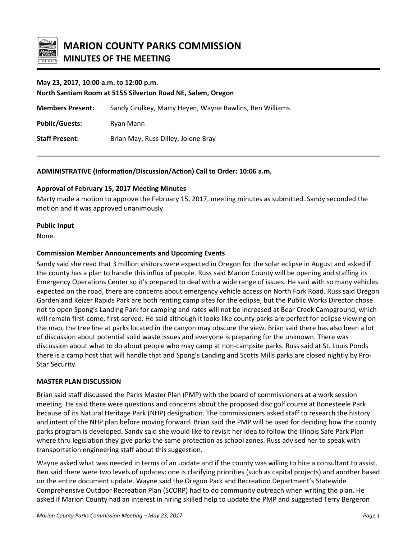

## **May 23, 2017, 10:00 a.m. to 12:00 p.m.**

**North Santiam Room at 5155 Silverton Road NE, Salem, Oregon Members Present:** Sandy Grulkey, Marty Heyen, Wayne Rawlins, Ben Williams Public/Guests: Ryan Mann **Staff Present:** Brian May, Russ Dilley, Jolene Bray

## **ADMINISTRATIVE (Information/Discussion/Action) Call to Order: 10:06 a.m.**

## **Approval of February 15, 2017 Meeting Minutes**

Marty made a motion to approve the February 15, 2017, meeting minutes as submitted. Sandy seconded the motion and it was approved unanimously.

## **Public Input**

None.

## **Commission Member Announcements and Upcoming Events**

Sandy said she read that 3 million visitors were expected in Oregon for the solar eclipse in August and asked if the county has a plan to handle this influx of people. Russ said Marion County will be opening and staffing its Emergency Operations Center so it's prepared to deal with a wide range of issues. He said with so many vehicles expected on the road, there are concerns about emergency vehicle access on North Fork Road. Russ said Oregon Garden and Keizer Rapids Park are both renting camp sites for the eclipse, but the Public Works Director chose not to open Spong's Landing Park for camping and rates will not be increased at Bear Creek Campground, which will remain first-come, first-served. He said although it looks like county parks are perfect for eclipse viewing on the map, the tree line at parks located in the canyon may obscure the view. Brian said there has also been a lot of discussion about potential solid waste issues and everyone is preparing for the unknown. There was discussion about what to do about people who may camp at non-campsite parks. Russ said at St. Louis Ponds there is a camp host that will handle that and Spong's Landing and Scotts Mills parks are closed nightly by Pro-Star Security.

# **MASTER PLAN DISCUSSION**

Brian said staff discussed the Parks Master Plan (PMP) with the board of commissioners at a work session meeting. He said there were questions and concerns about the proposed disc golf course at Bonesteele Park because of its Natural Heritage Park (NHP) designation. The commissioners asked staff to research the history and intent of the NHP plan before moving forward. Brian said the PMP will be used for deciding how the county parks program is developed. Sandy said she would like to revisit her idea to follow the Illinois Safe Park Plan where thru legislation they give parks the same protection as school zones. Russ advised her to speak with transportation engineering staff about this suggestion.

Wayne asked what was needed in terms of an update and if the county was willing to hire a consultant to assist. Ben said there were two levels of updates; one is clarifying priorities (such as capital projects) and another based on the entire document update. Wayne said the Oregon Park and Recreation Department's Statewide Comprehensive Outdoor Recreation Plan (SCORP) had to do community outreach when writing the plan. He asked if Marion County had an interest in hiring skilled help to update the PMP and suggested Terry Bergeron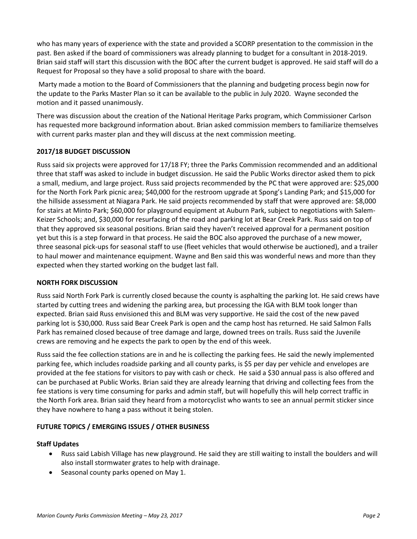who has many years of experience with the state and provided a SCORP presentation to the commission in the past. Ben asked if the board of commissioners was already planning to budget for a consultant in 2018-2019. Brian said staff will start this discussion with the BOC after the current budget is approved. He said staff will do a Request for Proposal so they have a solid proposal to share with the board.

Marty made a motion to the Board of Commissioners that the planning and budgeting process begin now for the update to the Parks Master Plan so it can be available to the public in July 2020. Wayne seconded the motion and it passed unanimously.

There was discussion about the creation of the National Heritage Parks program, which Commissioner Carlson has requested more background information about. Brian asked commission members to familiarize themselves with current parks master plan and they will discuss at the next commission meeting.

# **2017/18 BUDGET DISCUSSION**

Russ said six projects were approved for 17/18 FY; three the Parks Commission recommended and an additional three that staff was asked to include in budget discussion. He said the Public Works director asked them to pick a small, medium, and large project. Russ said projects recommended by the PC that were approved are: \$25,000 for the North Fork Park picnic area; \$40,000 for the restroom upgrade at Spong's Landing Park; and \$15,000 for the hillside assessment at Niagara Park. He said projects recommended by staff that were approved are: \$8,000 for stairs at Minto Park; \$60,000 for playground equipment at Auburn Park, subject to negotiations with Salem-Keizer Schools; and, \$30,000 for resurfacing of the road and parking lot at Bear Creek Park. Russ said on top of that they approved six seasonal positions. Brian said they haven't received approval for a permanent position yet but this is a step forward in that process. He said the BOC also approved the purchase of a new mower, three seasonal pick-ups for seasonal staff to use (fleet vehicles that would otherwise be auctioned), and a trailer to haul mower and maintenance equipment. Wayne and Ben said this was wonderful news and more than they expected when they started working on the budget last fall.

## **NORTH FORK DISCUSSION**

Russ said North Fork Park is currently closed because the county is asphalting the parking lot. He said crews have started by cutting trees and widening the parking area, but processing the IGA with BLM took longer than expected. Brian said Russ envisioned this and BLM was very supportive. He said the cost of the new paved parking lot is \$30,000. Russ said Bear Creek Park is open and the camp host has returned. He said Salmon Falls Park has remained closed because of tree damage and large, downed trees on trails. Russ said the Juvenile crews are removing and he expects the park to open by the end of this week.

Russ said the fee collection stations are in and he is collecting the parking fees. He said the newly implemented parking fee, which includes roadside parking and all county parks, is \$5 per day per vehicle and envelopes are provided at the fee stations for visitors to pay with cash or check. He said a \$30 annual pass is also offered and can be purchased at Public Works. Brian said they are already learning that driving and collecting fees from the fee stations is very time consuming for parks and admin staff, but will hopefully this will help correct traffic in the North Fork area. Brian said they heard from a motorcyclist who wants to see an annual permit sticker since they have nowhere to hang a pass without it being stolen.

# **FUTURE TOPICS / EMERGING ISSUES / OTHER BUSINESS**

## **Staff Updates**

- Russ said Labish Village has new playground. He said they are still waiting to install the boulders and will also install stormwater grates to help with drainage.
- Seasonal county parks opened on May 1.